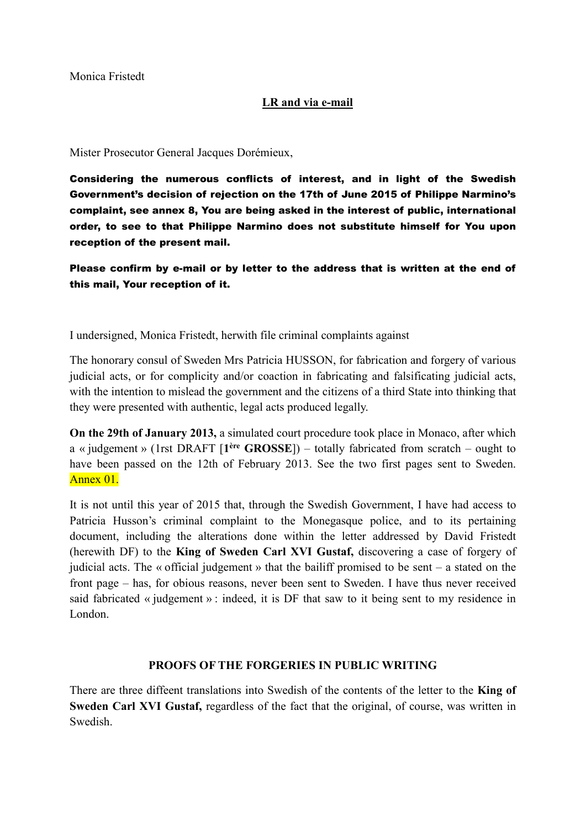Monica Fristedt

### **LR and via e-mail**

Mister Prosecutor General Jacques Dorémieux,

Considering the numerous conflicts of interest, and in light of the Swedish Government's decision of rejection on the 17th of June 2015 of Philippe Narmino's complaint, see annex 8, You are being asked in the interest of public, international order, to see to that Philippe Narmino does not substitute himself for You upon reception of the present mail.

Please confirm by e-mail or by letter to the address that is written at the end of this mail, Your reception of it.

I undersigned, Monica Fristedt, herwith file criminal complaints against

The honorary consul of Sweden Mrs Patricia HUSSON, for fabrication and forgery of various judicial acts, or for complicity and/or coaction in fabricating and falsificating judicial acts, with the intention to mislead the government and the citizens of a third State into thinking that they were presented with authentic, legal acts produced legally.

**On the 29th of January 2013,** a simulated court procedure took place in Monaco, after which a « judgement » (1rst DRAFT [**1ère GROSSE**]) – totally fabricated from scratch – ought to have been passed on the 12th of February 2013. See the two first pages sent to Sweden. Annex 01.

It is not until this year of 2015 that, through the Swedish Government, I have had access to Patricia Husson's criminal complaint to the Monegasque police, and to its pertaining document, including the alterations done within the letter addressed by David Fristedt (herewith DF) to the **King of Sweden Carl XVI Gustaf,** discovering a case of forgery of judicial acts. The « official judgement » that the bailiff promised to be sent – a stated on the front page – has, for obious reasons, never been sent to Sweden. I have thus never received said fabricated « judgement » : indeed, it is DF that saw to it being sent to my residence in London.

#### **PROOFS OF THE FORGERIES IN PUBLIC WRITING**

There are three diffeent translations into Swedish of the contents of the letter to the **King of Sweden Carl XVI Gustaf,** regardless of the fact that the original, of course, was written in Swedish.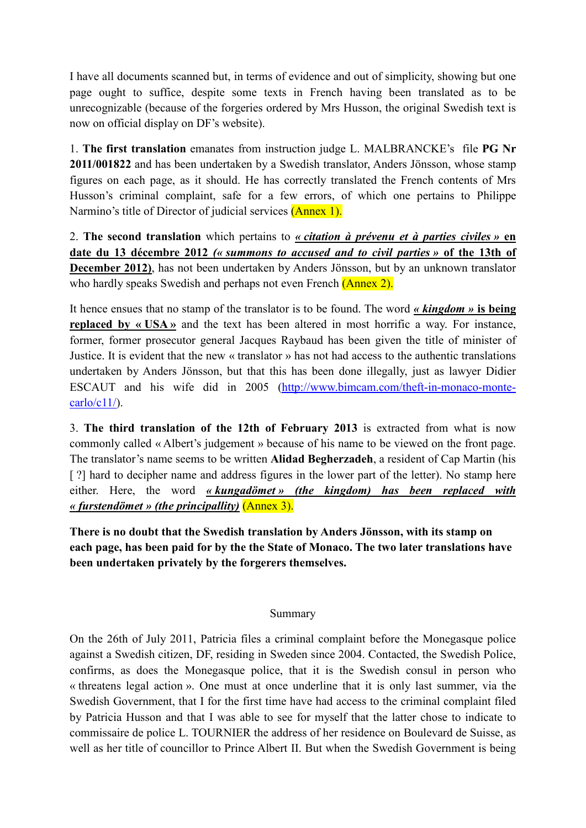I have all documents scanned but, in terms of evidence and out of simplicity, showing but one page ought to suffice, despite some texts in French having been translated as to be unrecognizable (because of the forgeries ordered by Mrs Husson, the original Swedish text is now on official display on DF's website).

1. **The first translation** emanates from instruction judge L. MALBRANCKE's file **PG Nr 2011/001822** and has been undertaken by a Swedish translator, Anders Jönsson, whose stamp figures on each page, as it should. He has correctly translated the French contents of Mrs Husson's criminal complaint, safe for a few errors, of which one pertains to Philippe Narmino's title of Director of judicial services (Annex 1).

2. **The second translation** which pertains to *« citation à prévenu et à parties civiles »* **en date du 13 décembre 2012** *(« summons to accused and to civil parties »* **of the 13th of December 2012)**, has not been undertaken by Anders Jönsson, but by an unknown translator who hardly speaks Swedish and perhaps not even French (Annex 2).

It hence ensues that no stamp of the translator is to be found. The word *« kingdom »* **is being replaced by « USA »** and the text has been altered in most horrific a way. For instance, former, former prosecutor general Jacques Raybaud has been given the title of minister of Justice. It is evident that the new « translator » has not had access to the authentic translations undertaken by Anders Jönsson, but that this has been done illegally, just as lawyer Didier ESCAUT and his wife did in 2005 [\(http://www.bimcam.com/theft-in-monaco-monte-](http://www.bimcam.com/theft-in-monaco-monte-carlo/c11/) $\text{carlo}/\text{c}11$ .

3. **The third translation of the 12th of February 2013** is extracted from what is now commonly called « Albert's judgement » because of his name to be viewed on the front page. The translator's name seems to be written **Alidad Begherzadeh**, a resident of Cap Martin (his [ ?] hard to decipher name and address figures in the lower part of the letter). No stamp here either. Here, the word *« kungadömet » (the kingdom) has been replaced with « furstendömet » (the principallity)* (Annex 3).

**There is no doubt that the Swedish translation by Anders Jönsson, with its stamp on each page, has been paid for by the the State of Monaco. The two later translations have been undertaken privately by the forgerers themselves.**

### Summary

On the 26th of July 2011, Patricia files a criminal complaint before the Monegasque police against a Swedish citizen, DF, residing in Sweden since 2004. Contacted, the Swedish Police, confirms, as does the Monegasque police, that it is the Swedish consul in person who « threatens legal action ». One must at once underline that it is only last summer, via the Swedish Government, that I for the first time have had access to the criminal complaint filed by Patricia Husson and that I was able to see for myself that the latter chose to indicate to commissaire de police L. TOURNIER the address of her residence on Boulevard de Suisse, as well as her title of councillor to Prince Albert II. But when the Swedish Government is being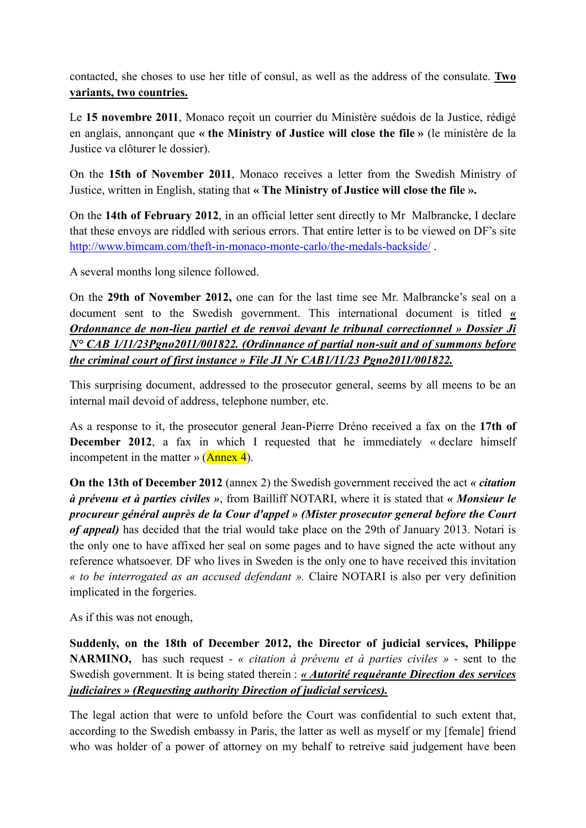contacted, she choses to use her title of consul, as well as the address of the consulate. **Two variants, two countries.**

Le **15 novembre 2011**, Monaco reçoit un courrier du Ministère suédois de la Justice, rédigé en anglais, annonçant que **« the Ministry of Justice will close the file »** (le ministère de la Justice va clôturer le dossier).

On the **15th of November 2011**, Monaco receives a letter from the Swedish Ministry of Justice, written in English, stating that **« The Ministry of Justice will close the file ».** 

On the **14th of February 2012**, in an official letter sent directly to Mr Malbrancke, I declare that these envoys are riddled with serious errors. That entire letter is to be viewed on DF's site <http://www.bimcam.com/theft-in-monaco-monte-carlo/the-medals-backside/> .

A several months long silence followed.

On the **29th of November 2012,** one can for the last time see Mr. Malbrancke's seal on a document sent to the Swedish government. This international document is titled *« Ordonnance de non-lieu partiel et de renvoi devant le tribunal correctionnel » Dossier Ji N° CAB 1/11/23Pgno2011/001822. (Ordinnance of partial non-suit and of summons before the criminal court of first instance » File JI Nr CAB1/11/23 Pgno2011/001822.*

This surprising document, addressed to the prosecutor general, seems by all meens to be an internal mail devoid of address, telephone number, etc.

As a response to it, the prosecutor general Jean-Pierre Dréno received a fax on the **17th of December 2012**, a fax in which I requested that he immediately « declare himself incompetent in the matter »  $(An)$ .

**On the 13th of December 2012** (annex 2) the Swedish government received the act *« citation à prévenu et à parties civiles »*, from Bailliff NOTARI, where it is stated that *« Monsieur le procureur général auprès de la Cour d'appel » (Mister prosecutor general before the Court of appeal)* has decided that the trial would take place on the 29th of January 2013. Notari is the only one to have affixed her seal on some pages and to have signed the acte without any reference whatsoever. DF who lives in Sweden is the only one to have received this invitation *« to be interrogated as an accused defendant ».* Claire NOTARI is also per very definition implicated in the forgeries.

As if this was not enough,

**Suddenly, on the 18th of December 2012, the Director of judicial services, Philippe NARMINO,** has such request *- « citation à prévenu et à parties civiles »* - sent to the Swedish government. It is being stated therein : *« Autorité requérante Direction des services judiciaires » (Requesting authority Direction of judicial services).*

The legal action that were to unfold before the Court was confidential to such extent that, according to the Swedish embassy in Paris, the latter as well as myself or my [female] friend who was holder of a power of attorney on my behalf to retreive said judgement have been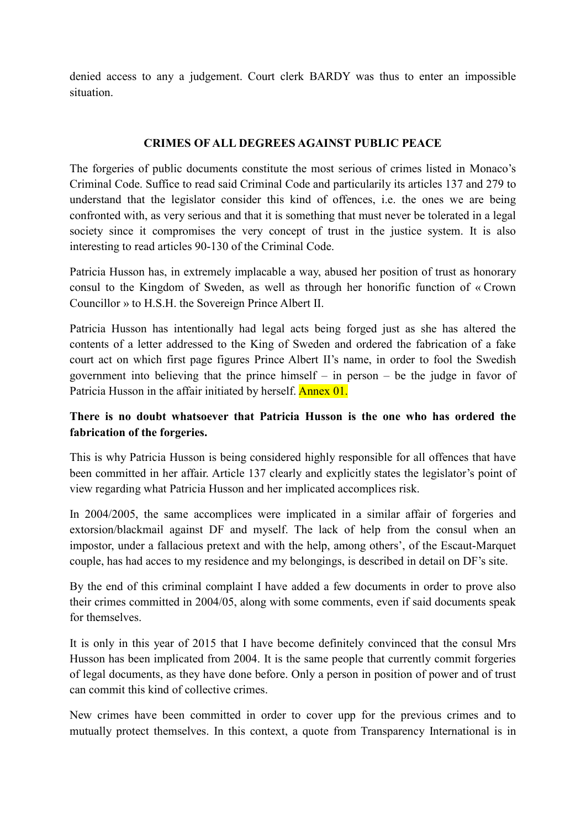denied access to any a judgement. Court clerk BARDY was thus to enter an impossible situation.

### **CRIMES OF ALL DEGREES AGAINST PUBLIC PEACE**

The forgeries of public documents constitute the most serious of crimes listed in Monaco's Criminal Code. Suffice to read said Criminal Code and particularily its articles 137 and 279 to understand that the legislator consider this kind of offences, i.e. the ones we are being confronted with, as very serious and that it is something that must never be tolerated in a legal society since it compromises the very concept of trust in the justice system. It is also interesting to read articles 90-130 of the Criminal Code.

Patricia Husson has, in extremely implacable a way, abused her position of trust as honorary consul to the Kingdom of Sweden, as well as through her honorific function of « Crown Councillor » to H.S.H. the Sovereign Prince Albert II.

Patricia Husson has intentionally had legal acts being forged just as she has altered the contents of a letter addressed to the King of Sweden and ordered the fabrication of a fake court act on which first page figures Prince Albert II's name, in order to fool the Swedish government into believing that the prince himself – in person – be the judge in favor of Patricia Husson in the affair initiated by herself. Annex 01.

## **There is no doubt whatsoever that Patricia Husson is the one who has ordered the fabrication of the forgeries.**

This is why Patricia Husson is being considered highly responsible for all offences that have been committed in her affair. Article 137 clearly and explicitly states the legislator's point of view regarding what Patricia Husson and her implicated accomplices risk.

In 2004/2005, the same accomplices were implicated in a similar affair of forgeries and extorsion/blackmail against DF and myself. The lack of help from the consul when an impostor, under a fallacious pretext and with the help, among others', of the Escaut-Marquet couple, has had acces to my residence and my belongings, is described in detail on DF's site.

By the end of this criminal complaint I have added a few documents in order to prove also their crimes committed in 2004/05, along with some comments, even if said documents speak for themselves.

It is only in this year of 2015 that I have become definitely convinced that the consul Mrs Husson has been implicated from 2004. It is the same people that currently commit forgeries of legal documents, as they have done before. Only a person in position of power and of trust can commit this kind of collective crimes.

New crimes have been committed in order to cover upp for the previous crimes and to mutually protect themselves. In this context, a quote from Transparency International is in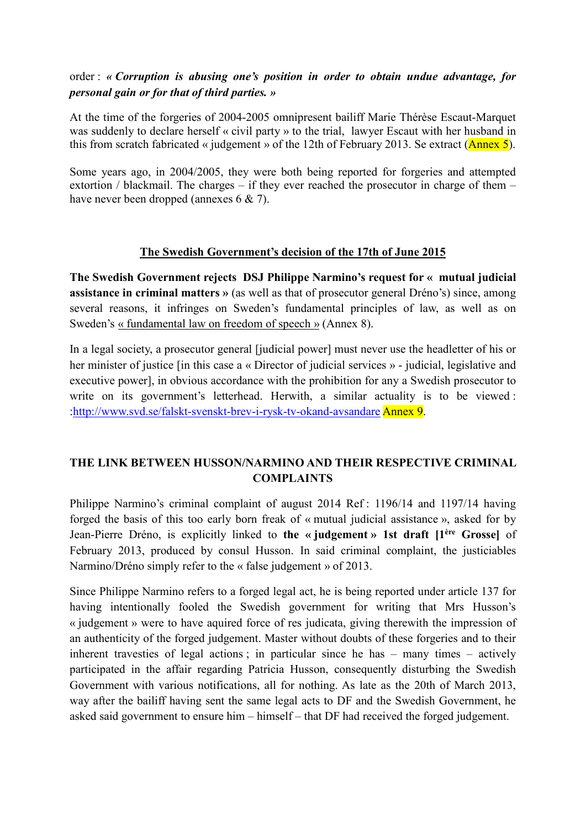## order : *« Corruption is abusing one's position in order to obtain undue advantage, for personal gain or for that of third parties. »*

At the time of the forgeries of 2004-2005 omnipresent bailiff Marie Thérèse Escaut-Marquet was suddenly to declare herself « civil party » to the trial, lawyer Escaut with her husband in this from scratch fabricated « judgement » of the 12th of February 2013. Se extract ( $\Delta$ nnex 5).

Some years ago, in 2004/2005, they were both being reported for forgeries and attempted extortion / blackmail. The charges – if they ever reached the prosecutor in charge of them – have never been dropped (annexes 6 & 7).

### **The Swedish Government's decision of the 17th of June 2015**

**The Swedish Government rejects DSJ Philippe Narmino's request for « mutual judicial assistance in criminal matters »** (as well as that of prosecutor general Dréno's) since, among several reasons, it infringes on Sweden's fundamental principles of law, as well as on Sweden's « fundamental law on freedom of speech » (Annex 8).

In a legal society, a prosecutor general [judicial power] must never use the headletter of his or her minister of justice [in this case a « Director of judicial services » - judicial, legislative and executive power], in obvious accordance with the prohibition for any a Swedish prosecutor to write on its government's letterhead. Herwith, a similar actuality is to be viewed : [:http://www.svd.se/falskt-svenskt-brev-i-rysk-tv-okand-avsandare](http://www.svd.se/falskt-svenskt-brev-i-rysk-tv-okand-avsandare) Annex 9.

## **THE LINK BETWEEN HUSSON/NARMINO AND THEIR RESPECTIVE CRIMINAL COMPLAINTS**

Philippe Narmino's criminal complaint of august 2014 Ref : 1196/14 and 1197/14 having forged the basis of this too early born freak of « mutual judicial assistance », asked for by Jean-Pierre Dréno, is explicitly linked to **the « judgement » 1st draft [1ère Grosse]** of February 2013, produced by consul Husson. In said criminal complaint, the justiciables Narmino/Dréno simply refer to the « false judgement » of 2013.

Since Philippe Narmino refers to a forged legal act, he is being reported under article 137 for having intentionally fooled the Swedish government for writing that Mrs Husson's « judgement » were to have aquired force of res judicata, giving therewith the impression of an authenticity of the forged judgement. Master without doubts of these forgeries and to their inherent travesties of legal actions ; in particular since he has – many times – actively participated in the affair regarding Patricia Husson, consequently disturbing the Swedish Government with various notifications, all for nothing. As late as the 20th of March 2013, way after the bailiff having sent the same legal acts to DF and the Swedish Government, he asked said government to ensure him – himself – that DF had received the forged judgement.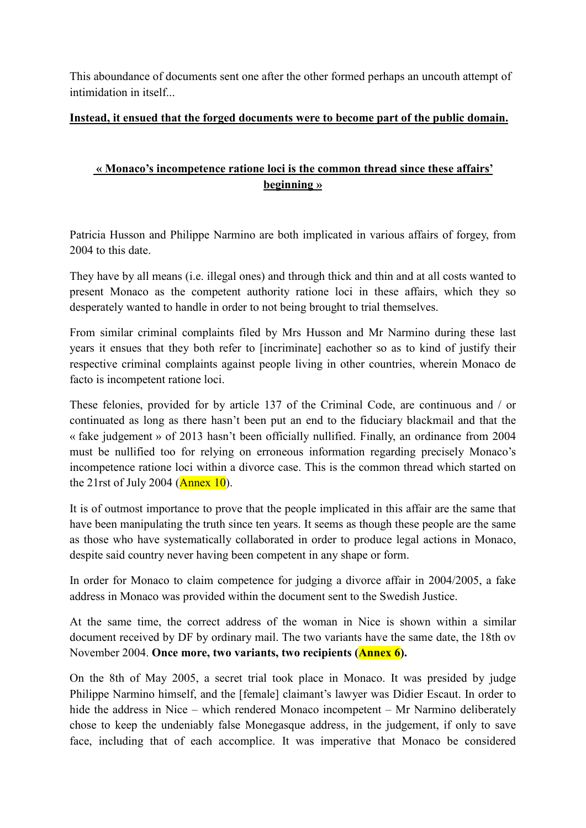This aboundance of documents sent one after the other formed perhaps an uncouth attempt of intimidation in itself...

### **Instead, it ensued that the forged documents were to become part of the public domain.**

# **« Monaco's incompetence ratione loci is the common thread since these affairs' beginning »**

Patricia Husson and Philippe Narmino are both implicated in various affairs of forgey, from 2004 to this date.

They have by all means (i.e. illegal ones) and through thick and thin and at all costs wanted to present Monaco as the competent authority ratione loci in these affairs, which they so desperately wanted to handle in order to not being brought to trial themselves.

From similar criminal complaints filed by Mrs Husson and Mr Narmino during these last years it ensues that they both refer to [incriminate] eachother so as to kind of justify their respective criminal complaints against people living in other countries, wherein Monaco de facto is incompetent ratione loci.

These felonies, provided for by article 137 of the Criminal Code, are continuous and / or continuated as long as there hasn't been put an end to the fiduciary blackmail and that the « fake judgement » of 2013 hasn't been officially nullified. Finally, an ordinance from 2004 must be nullified too for relying on erroneous information regarding precisely Monaco's incompetence ratione loci within a divorce case. This is the common thread which started on the 21rst of July 2004 ( $\Delta$ nnex 10).

It is of outmost importance to prove that the people implicated in this affair are the same that have been manipulating the truth since ten years. It seems as though these people are the same as those who have systematically collaborated in order to produce legal actions in Monaco, despite said country never having been competent in any shape or form.

In order for Monaco to claim competence for judging a divorce affair in 2004/2005, a fake address in Monaco was provided within the document sent to the Swedish Justice.

At the same time, the correct address of the woman in Nice is shown within a similar document received by DF by ordinary mail. The two variants have the same date, the 18th ov November 2004. **Once more, two variants, two recipients (Annex 6).**

On the 8th of May 2005, a secret trial took place in Monaco. It was presided by judge Philippe Narmino himself, and the [female] claimant's lawyer was Didier Escaut. In order to hide the address in Nice – which rendered Monaco incompetent – Mr Narmino deliberately chose to keep the undeniably false Monegasque address, in the judgement, if only to save face, including that of each accomplice. It was imperative that Monaco be considered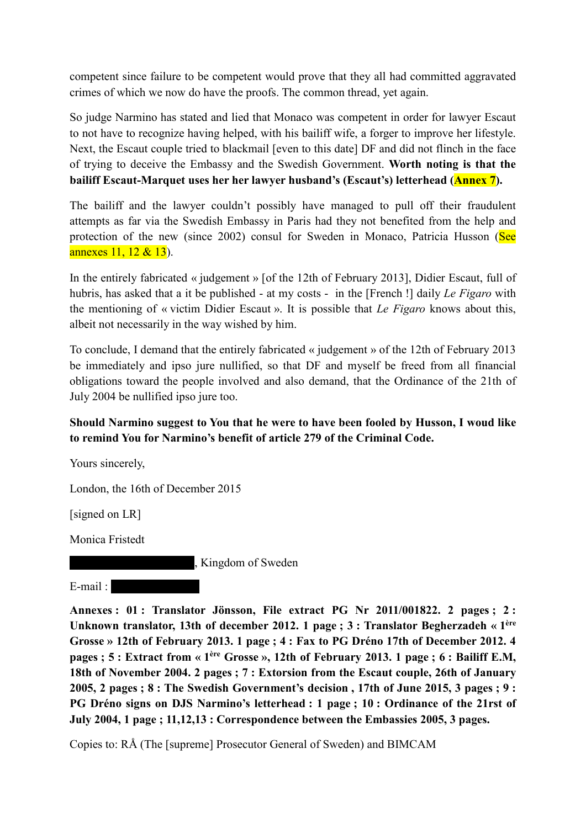competent since failure to be competent would prove that they all had committed aggravated crimes of which we now do have the proofs. The common thread, yet again.

So judge Narmino has stated and lied that Monaco was competent in order for lawyer Escaut to not have to recognize having helped, with his bailiff wife, a forger to improve her lifestyle. Next, the Escaut couple tried to blackmail [even to this date] DF and did not flinch in the face of trying to deceive the Embassy and the Swedish Government. **Worth noting is that the bailiff Escaut-Marquet uses her her lawyer husband's (Escaut's) letterhead (Annex 7).**

The bailiff and the lawyer couldn't possibly have managed to pull off their fraudulent attempts as far via the Swedish Embassy in Paris had they not benefited from the help and protection of the new (since 2002) consul for Sweden in Monaco, Patricia Husson (See annexes 11, 12 & 13).

In the entirely fabricated « judgement » [of the 12th of February 2013], Didier Escaut, full of hubris, has asked that a it be published - at my costs - in the [French !] daily *Le Figaro* with the mentioning of « victim Didier Escaut ». It is possible that *Le Figaro* knows about this, albeit not necessarily in the way wished by him.

To conclude, I demand that the entirely fabricated « judgement » of the 12th of February 2013 be immediately and ipso jure nullified, so that DF and myself be freed from all financial obligations toward the people involved and also demand, that the Ordinance of the 21th of July 2004 be nullified ipso jure too.

## **Should Narmino suggest to You that he were to have been fooled by Husson, I woud like to remind You for Narmino's benefit of article 279 of the Criminal Code.**

Yours sincerely,

London, the 16th of December 2015

[signed on LR]

Monica Fristedt

, Kingdom of Sweden

 $E-mail:$ 

**Annexes : 01 : Translator Jönsson, File extract PG Nr 2011/001822. 2 pages ; 2 : Unknown translator, 13th of december 2012. 1 page ; 3 : Translator Begherzadeh « 1ère Grosse » 12th of February 2013. 1 page ; 4 : Fax to PG Dréno 17th of December 2012. 4 pages ; 5 : Extract from « 1ère Grosse », 12th of February 2013. 1 page ; 6 : Bailiff E.M, 18th of November 2004. 2 pages ; 7 : Extorsion from the Escaut couple, 26th of January 2005, 2 pages ; 8 : The Swedish Government's decision , 17th of June 2015, 3 pages ; 9 : PG Dréno signs on DJS Narmino's letterhead : 1 page ; 10 : Ordinance of the 21rst of July 2004, 1 page ; 11,12,13 : Correspondence between the Embassies 2005, 3 pages.**

Copies to: RÅ (The [supreme] Prosecutor General of Sweden) and BIMCAM